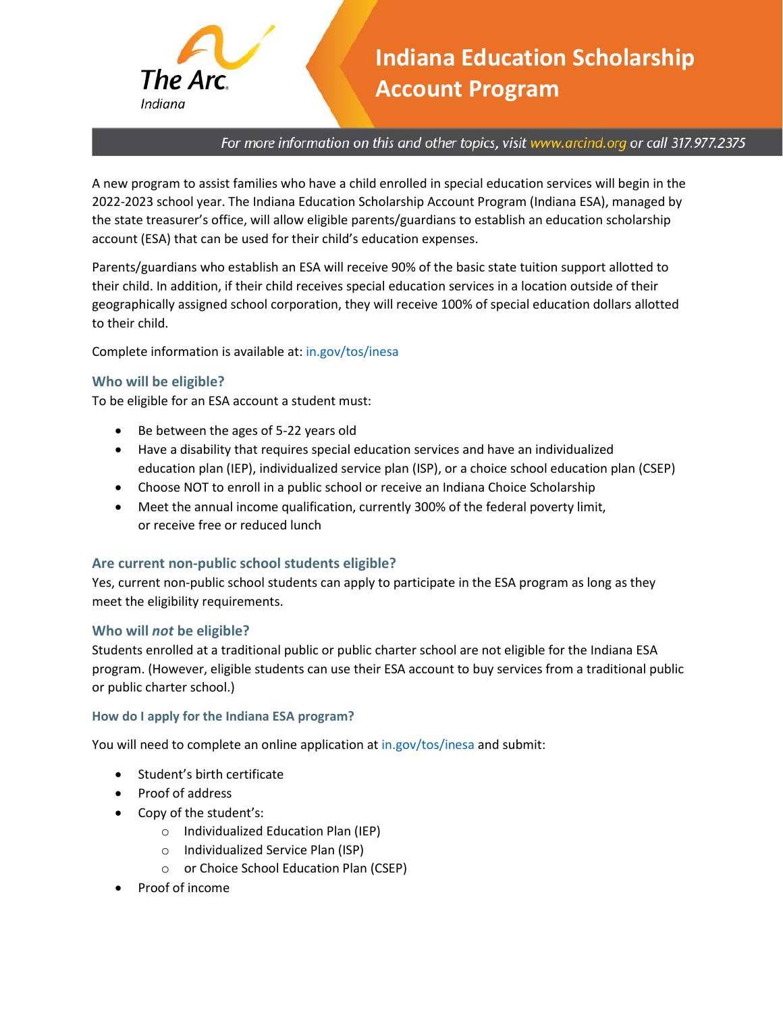

# **Indiana Education Scholarship Account Program**

For more information on this and other topics, visit www.arcind.org or call 317.977.2375

A new program to assist families who have a child enrolled in special education services will begin in the 2022-2023 school year. The Indiana Education Scholarship Account Program (Indiana ESA), managed by the state treasurer's office, will allow eligible parents/guardians to establish an education scholarship account (ESA) that can be used for their child's education expenses.

Parents/guardians who establish an ESA will receive 90% of the basic state tuition support allotted to their child. In addition, if their child receives special education services in a location outside of their geographically assigned school corporation, they will receive 100% of special education dollars allotted to their child.

Complete information is available at: [in.gov/tos/inesa](https://www.in.gov/tos/inesa/)

# **Who will be eligible?**

To be eligible for an ESA account a student must:

- Be between the ages of 5-22 years old
- Have a disability that requires special education services and have an individualized education plan (IEP), individualized service plan (ISP), or a choice school education plan (CSEP)
- Choose NOT to enroll in a public school or receive an Indiana Choice Scholarship
- Meet the annual income qualification, currently 300% of the federal poverty limit, or receive free or reduced lunch

# **Are current non-public school students eligible?**

Yes, current non-public school students can apply to participate in the ESA program as long as they meet the eligibility requirements.

### **Who will** *not* **be eligible?**

Students enrolled at a traditional public or public charter school are not eligible for the Indiana ESA program. (However, eligible students can use their ESA account to buy services from a traditional public or public charter school.)

### **How do I apply for the Indiana ESA program?**

You will need to complete an online application a[t in.gov/tos/inesa](https://www.in.gov/tos/inesa/) and submit:

- Student's birth certificate
- Proof of address
- Copy of the student's:
	- o Individualized Education Plan (IEP)
	- o Individualized Service Plan (ISP)
	- o or Choice School Education Plan (CSEP)
- Proof of income